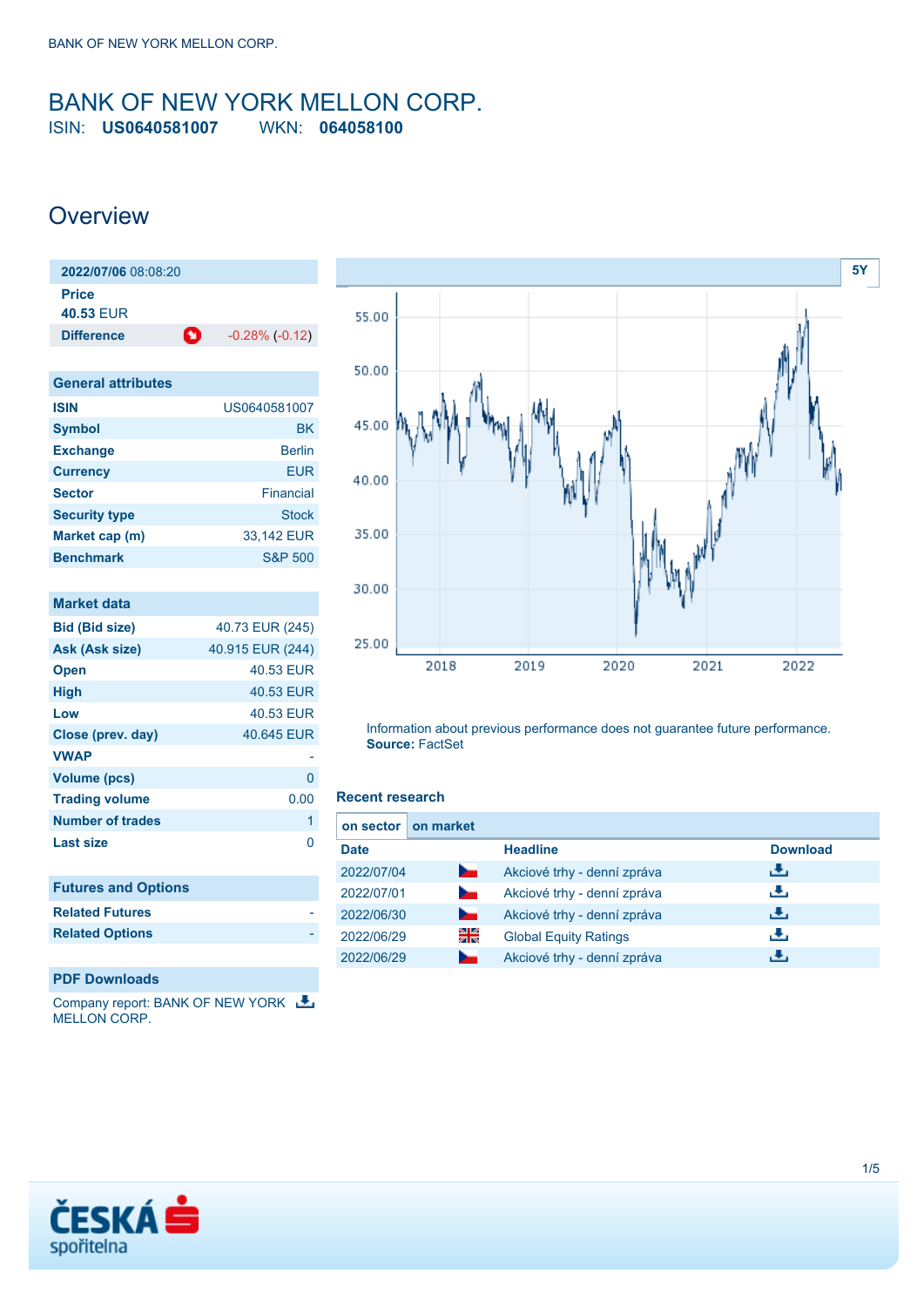### <span id="page-0-0"></span>BANK OF NEW YORK MELLON CORP. ISIN: **US0640581007** WKN: **064058100**

### **Overview**

| 2022/07/06 08:08:20 |     |                     |  |  |
|---------------------|-----|---------------------|--|--|
| <b>Price</b>        |     |                     |  |  |
| 40.53 FUR           |     |                     |  |  |
| <b>Difference</b>   | ≁⊙⊵ | $-0.28\%$ $(-0.12)$ |  |  |
|                     |     |                     |  |  |

| <b>General attributes</b> |                    |
|---------------------------|--------------------|
| <b>ISIN</b>               | US0640581007       |
| <b>Symbol</b>             | ВK                 |
| <b>Exchange</b>           | <b>Berlin</b>      |
| <b>Currency</b>           | FUR                |
| <b>Sector</b>             | <b>Financial</b>   |
| <b>Security type</b>      | <b>Stock</b>       |
| Market cap (m)            | 33,142 EUR         |
| <b>Benchmark</b>          | <b>S&amp;P 500</b> |

| <b>Market data</b>         |                  |
|----------------------------|------------------|
| <b>Bid (Bid size)</b>      | 40.73 EUR (245)  |
| Ask (Ask size)             | 40.915 EUR (244) |
| <b>Open</b>                | 40.53 EUR        |
| <b>High</b>                | 40.53 EUR        |
| Low                        | 40.53 EUR        |
| Close (prev. day)          | 40.645 EUR       |
| <b>VWAP</b>                |                  |
| <b>Volume (pcs)</b>        | 0                |
| <b>Trading volume</b>      | 0.00             |
| Number of trades           | 1                |
| Last size                  | 0                |
|                            |                  |
| <b>Futures and Options</b> |                  |
| <b>Related Futures</b>     |                  |
| <b>Related Options</b>     |                  |
|                            |                  |
|                            |                  |

#### **PDF Downloads**

Company report: BANK OF NEW YORK MELLON CORP.



Information about previous performance does not guarantee future performance. **Source:** FactSet

#### **Recent research**

| on sector   | on market       |                              |                 |
|-------------|-----------------|------------------------------|-----------------|
| <b>Date</b> |                 | <b>Headline</b>              | <b>Download</b> |
| 2022/07/04  | $\sim$          | Akciové trhy - denní zpráva  | رنان            |
| 2022/07/01  | $\sim$          | Akciové trhy - denní zpráva  | رنان            |
| 2022/06/30  | <b>Contract</b> | Akciové trhy - denní zpráva  | رنان            |
| 2022/06/29  | 꾉뚢              | <b>Global Equity Ratings</b> | æ,              |
| 2022/06/29  | $\sim$          | Akciové trhy - denní zpráva  |                 |

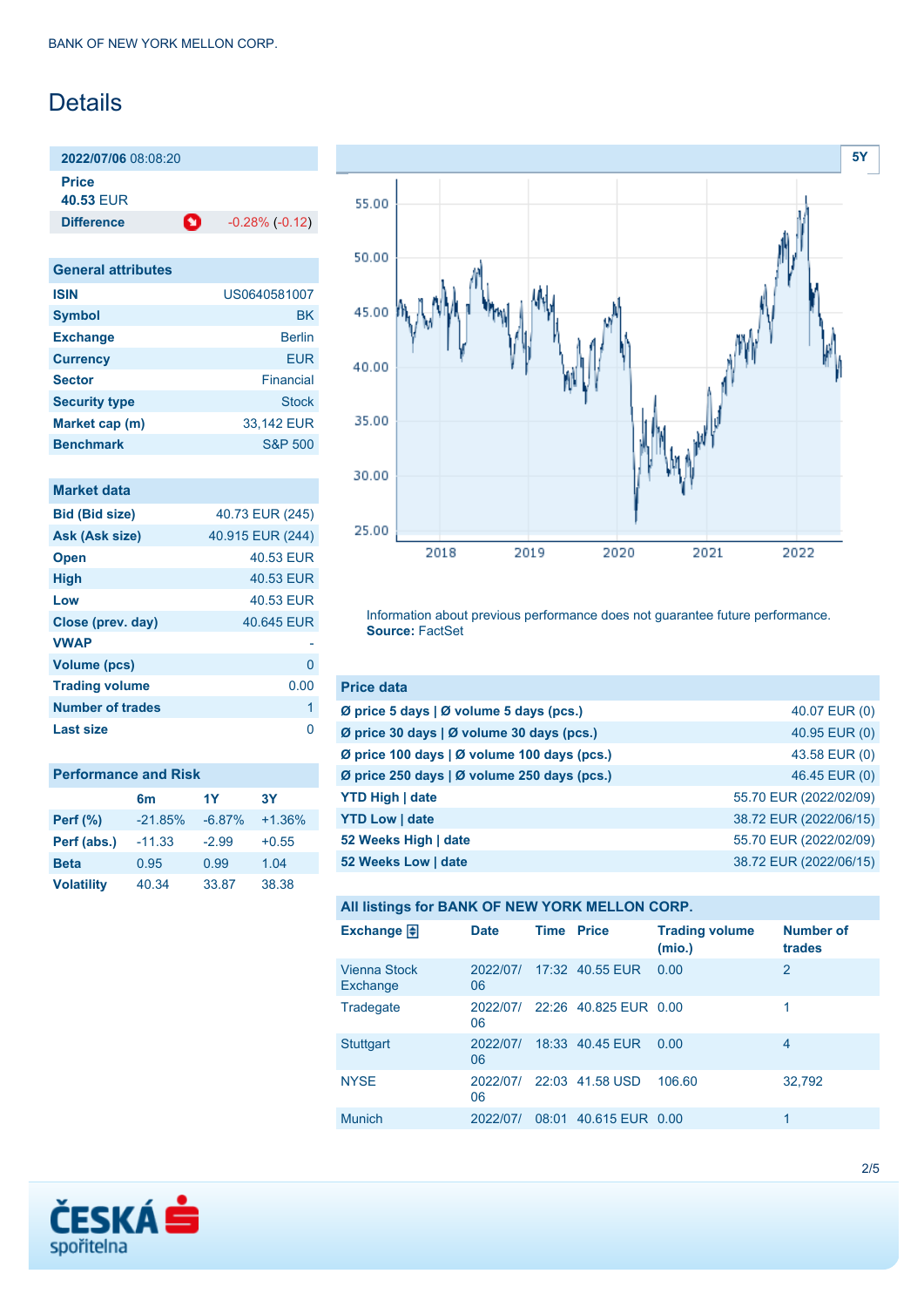# Details

**2022/07/06** 08:08:20 **Price 40.53** EUR

**Difference 1** -0.28% (-0.12)

| <b>General attributes</b> |                    |
|---------------------------|--------------------|
| <b>ISIN</b>               | US0640581007       |
| <b>Symbol</b>             | ВK                 |
| <b>Exchange</b>           | <b>Berlin</b>      |
| <b>Currency</b>           | <b>EUR</b>         |
| <b>Sector</b>             | Financial          |
| <b>Security type</b>      | <b>Stock</b>       |
| Market cap (m)            | 33.142 EUR         |
| <b>Benchmark</b>          | <b>S&amp;P 500</b> |

| <b>Market data</b>      |                  |
|-------------------------|------------------|
| <b>Bid (Bid size)</b>   | 40.73 EUR (245)  |
| Ask (Ask size)          | 40.915 EUR (244) |
| <b>Open</b>             | 40.53 EUR        |
| <b>High</b>             | 40.53 EUR        |
| Low                     | 40.53 EUR        |
| Close (prev. day)       | 40.645 EUR       |
| <b>VWAP</b>             |                  |
| <b>Volume (pcs)</b>     | 0                |
| <b>Trading volume</b>   | 0.00             |
| <b>Number of trades</b> | 1                |
| Last size               | n                |

| <b>Performance and Risk</b> |                |          |          |  |  |
|-----------------------------|----------------|----------|----------|--|--|
|                             | 6 <sub>m</sub> | 1Y       | 3Υ       |  |  |
| <b>Perf</b> (%)             | $-21.85%$      | $-6.87%$ | $+1.36%$ |  |  |
| Perf (abs.)                 | $-11.33$       | $-2.99$  | $+0.55$  |  |  |
| <b>Beta</b>                 | 0.95           | 0.99     | 1.04     |  |  |
| <b>Volatility</b>           | 40.34          | 33.87    | 38.38    |  |  |



Information about previous performance does not guarantee future performance. **Source:** FactSet

| <b>Price data</b>                           |                        |
|---------------------------------------------|------------------------|
| Ø price 5 days   Ø volume 5 days (pcs.)     | 40.07 EUR (0)          |
| Ø price 30 days   Ø volume 30 days (pcs.)   | 40.95 EUR (0)          |
| Ø price 100 days   Ø volume 100 days (pcs.) | 43.58 EUR (0)          |
| Ø price 250 days   Ø volume 250 days (pcs.) | 46.45 EUR (0)          |
| <b>YTD High   date</b>                      | 55.70 EUR (2022/02/09) |
| <b>YTD Low   date</b>                       | 38.72 EUR (2022/06/15) |
| 52 Weeks High   date                        | 55.70 EUR (2022/02/09) |
| 52 Weeks Low   date                         | 38.72 EUR (2022/06/15) |

|  |  | All listings for BANK OF NEW YORK MELLON CORP. |  |  |
|--|--|------------------------------------------------|--|--|
|--|--|------------------------------------------------|--|--|

| Exchange $\Box$          | <b>Date</b>    | <b>Time Price</b> |                       | <b>Trading volume</b><br>(mio.) | <b>Number of</b><br>trades |
|--------------------------|----------------|-------------------|-----------------------|---------------------------------|----------------------------|
| Vienna Stock<br>Exchange | 2022/07/<br>06 |                   | 17:32 40.55 EUR       | 0.00                            | $\overline{2}$             |
| Tradegate                | 2022/07/<br>06 |                   | 22:26 40.825 EUR 0.00 |                                 | 1                          |
| <b>Stuttgart</b>         | 2022/07/<br>06 |                   | 18:33 40.45 EUR       | 0.00                            | 4                          |
| <b>NYSE</b>              | 2022/07/<br>06 |                   | 22:03 41.58 USD       | 106.60                          | 32,792                     |
| <b>Munich</b>            | 2022/07/       |                   | 08:01 40.615 EUR 0.00 |                                 | 1                          |

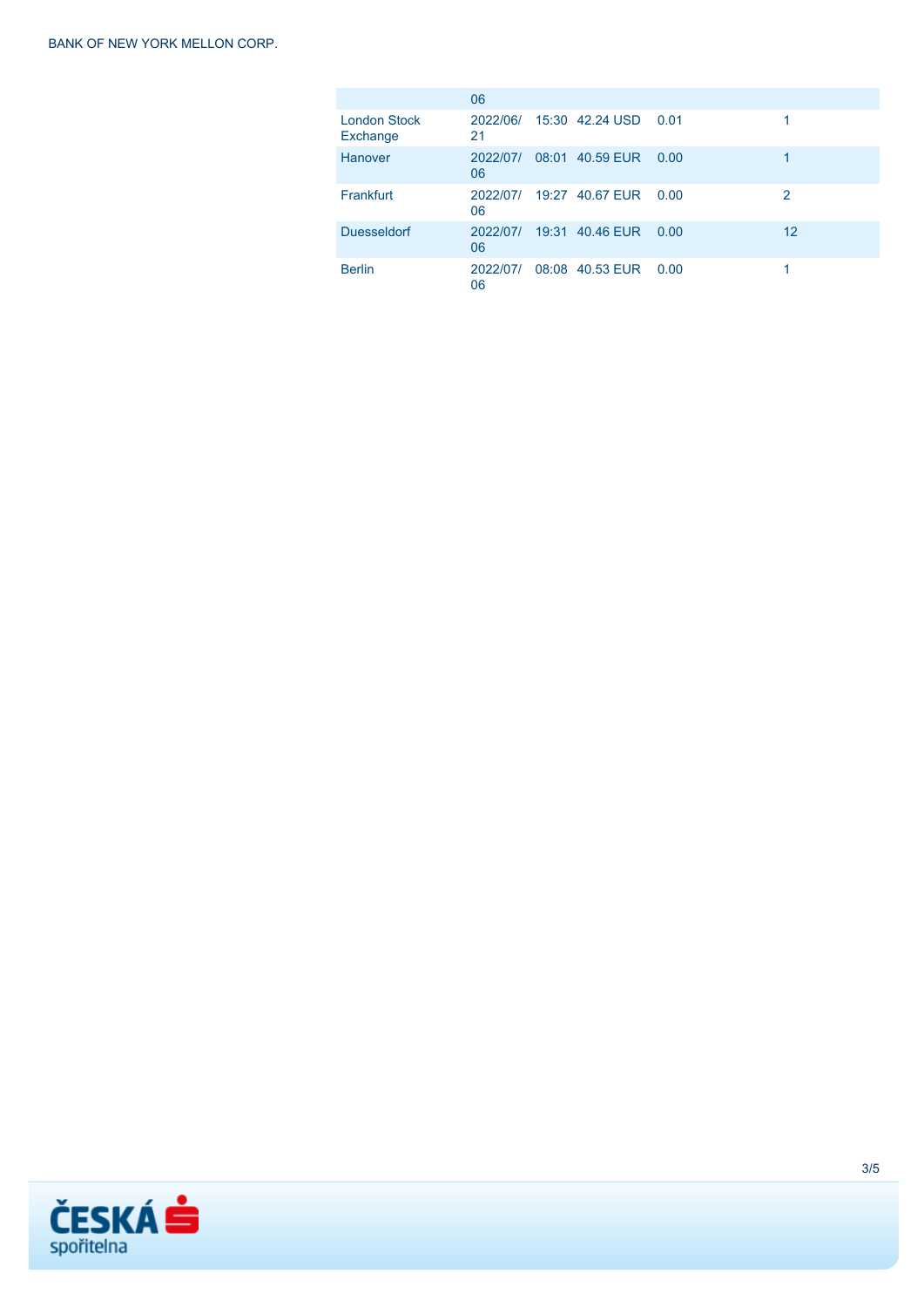|                                 | 06             |                      |        |    |
|---------------------------------|----------------|----------------------|--------|----|
| <b>London Stock</b><br>Exchange | 2022/06/<br>21 | 15:30 42.24 USD 0.01 |        |    |
| Hanover                         | 2022/07/<br>06 | 08:01 40.59 EUR      | - 0.00 |    |
| Frankfurt                       | 2022/07/<br>06 | 19:27 40.67 EUR      | 0.00   | 2  |
| <b>Duesseldorf</b>              | 2022/07/<br>06 | 19:31 40.46 EUR      | 0.00   | 12 |
| <b>Berlin</b>                   | 2022/07/<br>06 | 08:08 40.53 EUR      | 0.00   |    |

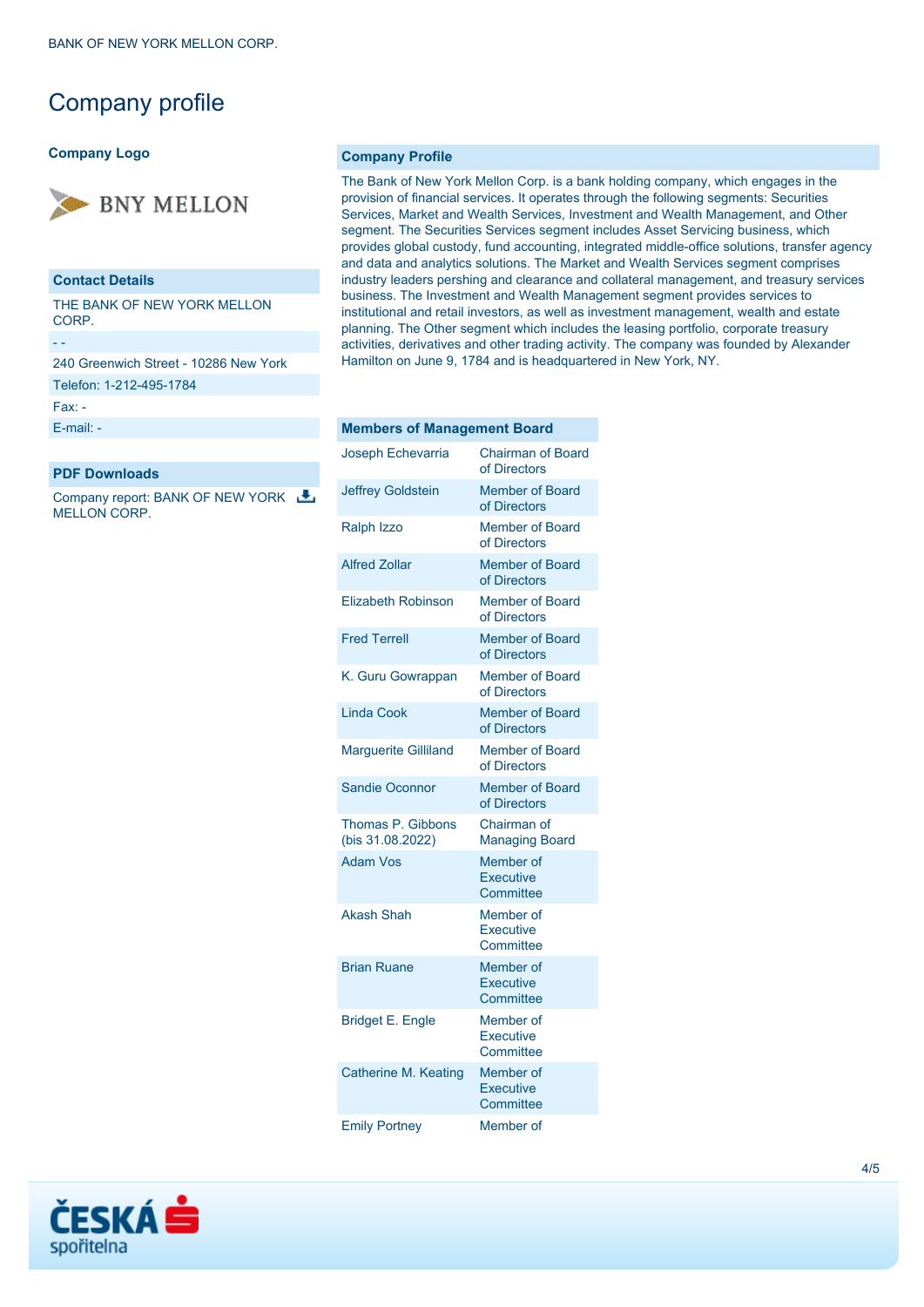## Company profile

#### **Company Logo**



#### **Contact Details**

THE BANK OF NEW YORK MELLON CORP.

240 Greenwich Street - 10286 New York

Telefon: 1-212-495-1784

Fax: -

- -

[E-mail: -](mailto:-)

#### **PDF Downloads**

Company report: BANK OF NEW YORK MELLON CORP.

#### **Company Profile**

The Bank of New York Mellon Corp. is a bank holding company, which engages in the provision of financial services. It operates through the following segments: Securities Services, Market and Wealth Services, Investment and Wealth Management, and Other segment. The Securities Services segment includes Asset Servicing business, which provides global custody, fund accounting, integrated middle-office solutions, transfer agency and data and analytics solutions. The Market and Wealth Services segment comprises industry leaders pershing and clearance and collateral management, and treasury services business. The Investment and Wealth Management segment provides services to institutional and retail investors, as well as investment management, wealth and estate planning. The Other segment which includes the leasing portfolio, corporate treasury activities, derivatives and other trading activity. The company was founded by Alexander Hamilton on June 9, 1784 and is headquartered in New York, NY.

#### **Members of Management Board**

| Joseph Echevarria                     | <b>Chairman of Board</b><br>of Directors   |
|---------------------------------------|--------------------------------------------|
| <b>Jeffrey Goldstein</b>              | <b>Member of Board</b><br>of Directors     |
| <b>Ralph Izzo</b>                     | <b>Member of Board</b><br>of Directors     |
| <b>Alfred Zollar</b>                  | <b>Member of Board</b><br>of Directors     |
| <b>Elizabeth Robinson</b>             | <b>Member of Board</b><br>of Directors     |
| <b>Fred Terrell</b>                   | <b>Member of Board</b><br>of Directors     |
| K. Guru Gowrappan                     | <b>Member of Board</b><br>of Directors     |
| <b>Linda Cook</b>                     | <b>Member of Board</b><br>of Directors     |
| <b>Marguerite Gilliland</b>           | <b>Member of Board</b><br>of Directors     |
| Sandie Oconnor                        | <b>Member of Board</b><br>of Directors     |
| Thomas P. Gibbons<br>(bis 31.08.2022) | Chairman of<br><b>Managing Board</b>       |
| <b>Adam Vos</b>                       | Member of<br><b>Executive</b><br>Committee |
| <b>Akash Shah</b>                     | Member of<br><b>Executive</b><br>Committee |
| <b>Brian Ruane</b>                    | Member of<br><b>Executive</b><br>Committee |
| <b>Bridget E. Engle</b>               | Member of<br><b>Executive</b><br>Committee |
| <b>Catherine M. Keating</b>           | Member of<br><b>Executive</b><br>Committee |
| <b>Emily Portney</b>                  | Member of                                  |